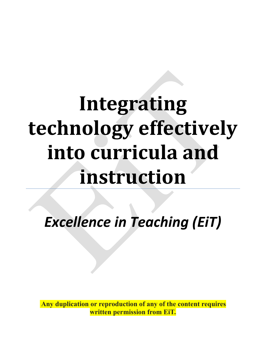## **Integrating technology effectively into curricula and instruction**

*Excellence in Teaching (EiT)*

**Any duplication or reproduction of any of the content requires written permission from EiT.**